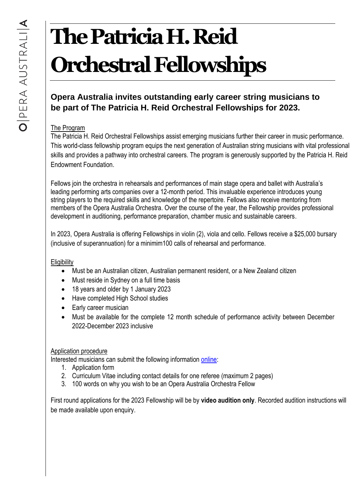# **The Patricia H. Reid Orchestral Fellowships**

# **Opera Australia invites outstanding early career string musicians to be part of The Patricia H. Reid Orchestral Fellowships for 2023.**

## The Program

The Patricia H. Reid Orchestral Fellowships assist emerging musicians further their career in music performance. This world-class fellowship program equips the next generation of Australian string musicians with vital professional skills and provides a pathway into orchestral careers. The program is generously supported by the Patricia H. Reid Endowment Foundation.

Fellows join the orchestra in rehearsals and performances of main stage opera and ballet with Australia's leading performing arts companies over a 12-month period. This invaluable experience introduces young string players to the required skills and knowledge of the repertoire. Fellows also receive mentoring from members of the Opera Australia Orchestra. Over the course of the year, the Fellowship provides professional development in auditioning, performance preparation, chamber music and sustainable careers.

In 2023, Opera Australia is offering Fellowships in violin (2), viola and cello. Fellows receive a \$25,000 bursary (inclusive of superannuation) for a minimim100 calls of rehearsal and performance.

### **Eligibility**

- Must be an Australian citizen, Australian permanent resident, or a New Zealand citizen
- Must reside in Sydney on a full time basis
- 18 years and older by 1 January 2023
- Have completed High School studies
- Early career musician
- Must be available for the complete 12 month schedule of performance activity between December 2022-December 2023 inclusive

### Application procedure

Interested musicians can submit the following information [online:](https://app.smartsheet.com/b/form/d435d9a6af7f47f88e8b5a163f1fc14f)

- 1. Application form
- 2. Curriculum Vitae including contact details for one referee (maximum 2 pages)
- 3. 100 words on why you wish to be an Opera Australia Orchestra Fellow

First round applications for the 2023 Fellowship will be by **video audition only**. Recorded audition instructions will be made available upon enquiry.